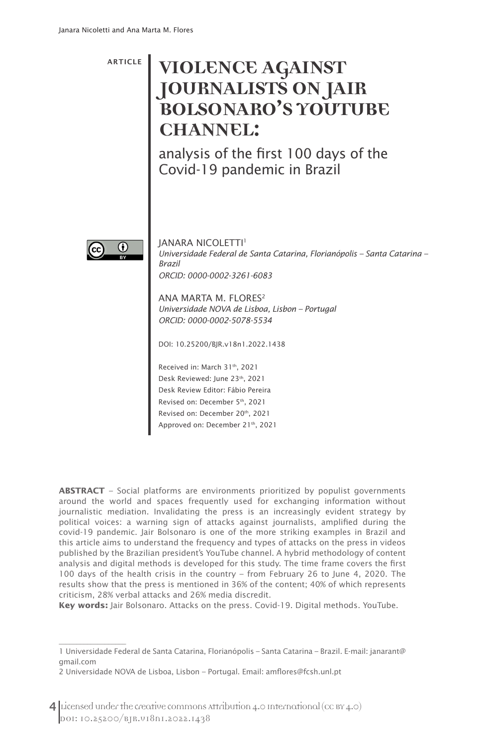ARTICLE

# **VIOLENCE AGAINST JOURNALISTS ON JAIR BOLSONARO'S YOUTUBE CHANNEL:**

analysis of the first 100 days of the Covid-19 pandemic in Brazil



 $\overline{\phantom{a}}$ 

JANARA NICOLETTI<sup>1</sup> *Universidade Federal de Santa Catarina, Florianópolis – Santa Catarina – Brazil ORCID: 0000-0002-3261-6083*

ANA MARTA M. FLORES<sup>2</sup> *Universidade NOVA de Lisboa, Lisbon – Portugal ORCID: 0000-0002-5078-5534*

DOI: 10.25200/BJR.v18n1.2022.1438

Received in: March 31th, 2021 Desk Reviewed: June 23th, 2021 Desk Review Editor: Fábio Pereira Revised on: December 5th, 2021 Revised on: December 20th, 2021 Approved on: December 21th, 2021

**ABSTRACT** – Social platforms are environments prioritized by populist governments around the world and spaces frequently used for exchanging information without journalistic mediation. Invalidating the press is an increasingly evident strategy by political voices: a warning sign of attacks against journalists, amplified during the covid-19 pandemic. Jair Bolsonaro is one of the more striking examples in Brazil and this article aims to understand the frequency and types of attacks on the press in videos published by the Brazilian president's YouTube channel. A hybrid methodology of content analysis and digital methods is developed for this study. The time frame covers the first 100 days of the health crisis in the country – from February 26 to June 4, 2020. The results show that the press is mentioned in 36% of the content; 40% of which represents criticism, 28% verbal attacks and 26% media discredit.

**Key words:** Jair Bolsonaro. Attacks on the press. Covid-19. Digital methods. YouTube.

<sup>1</sup> Universidade Federal de Santa Catarina, Florianópolis – Santa Catarina – Brazil. E-mail: janarant@ gmail.com

<sup>2</sup> Universidade NOVA de Lisboa, Lisbon – Portugal. Email: amflores@fcsh.unl.pt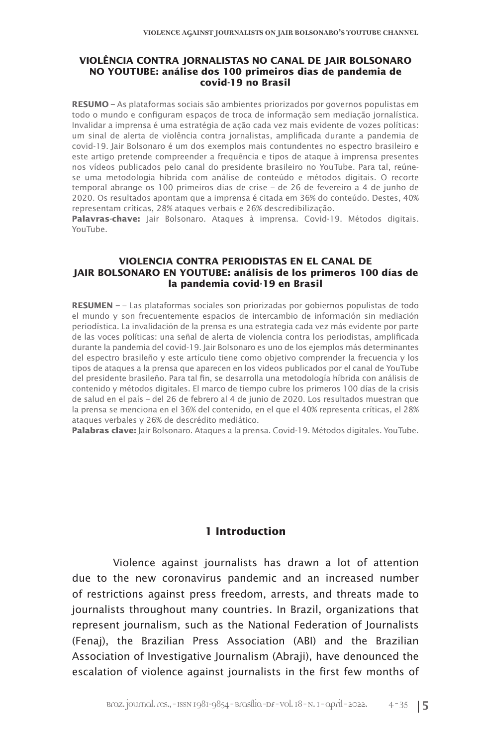#### **VIOLÊNCIA CONTRA JORNALISTAS NO CANAL DE JAIR BOLSONARO NO YOUTUBE: análise dos 100 primeiros dias de pandemia de covid-19 no Brasil**

**RESUMO –** As plataformas sociais são ambientes priorizados por governos populistas em todo o mundo e configuram espaços de troca de informação sem mediação jornalística. Invalidar a imprensa é uma estratégia de ação cada vez mais evidente de vozes políticas: um sinal de alerta de violência contra jornalistas, amplificada durante a pandemia de covid-19. Jair Bolsonaro é um dos exemplos mais contundentes no espectro brasileiro e este artigo pretende compreender a frequência e tipos de ataque à imprensa presentes nos vídeos publicados pelo canal do presidente brasileiro no YouTube. Para tal, reúnese uma metodologia híbrida com análise de conteúdo e métodos digitais. O recorte temporal abrange os 100 primeiros dias de crise – de 26 de fevereiro a 4 de junho de 2020. Os resultados apontam que a imprensa é citada em 36% do conteúdo. Destes, 40% representam críticas, 28% ataques verbais e 26% descredibilização.

**Palavras-chave:** Jair Bolsonaro. Ataques à imprensa. Covid-19. Métodos digitais. YouTube.

#### **VIOLENCIA CONTRA PERIODISTAS EN EL CANAL DE JAIR BOLSONARO EN YOUTUBE: análisis de los primeros 100 días de la pandemia covid-19 en Brasil**

**RESUMEN –** – Las plataformas sociales son priorizadas por gobiernos populistas de todo el mundo y son frecuentemente espacios de intercambio de información sin mediación periodística. La invalidación de la prensa es una estrategia cada vez más evidente por parte de las voces políticas: una señal de alerta de violencia contra los periodistas, amplificada durante la pandemia del covid-19. Jair Bolsonaro es uno de los ejemplos más determinantes del espectro brasileño y este artículo tiene como objetivo comprender la frecuencia y los tipos de ataques a la prensa que aparecen en los videos publicados por el canal de YouTube del presidente brasileño. Para tal fin, se desarrolla una metodología híbrida con análisis de contenido y métodos digitales. El marco de tiempo cubre los primeros 100 días de la crisis de salud en el país – del 26 de febrero al 4 de junio de 2020. Los resultados muestran que la prensa se menciona en el 36% del contenido, en el que el 40% representa críticas, el 28% ataques verbales y 26% de descrédito mediático.

**Palabras clave:** Jair Bolsonaro. Ataques a la prensa. Covid-19. Métodos digitales. YouTube.

# **1 Introduction**

Violence against journalists has drawn a lot of attention due to the new coronavirus pandemic and an increased number of restrictions against press freedom, arrests, and threats made to journalists throughout many countries. In Brazil, organizations that represent journalism, such as the National Federation of Journalists (Fenaj), the Brazilian Press Association (ABI) and the Brazilian Association of Investigative Journalism (Abraji), have denounced the escalation of violence against journalists in the first few months of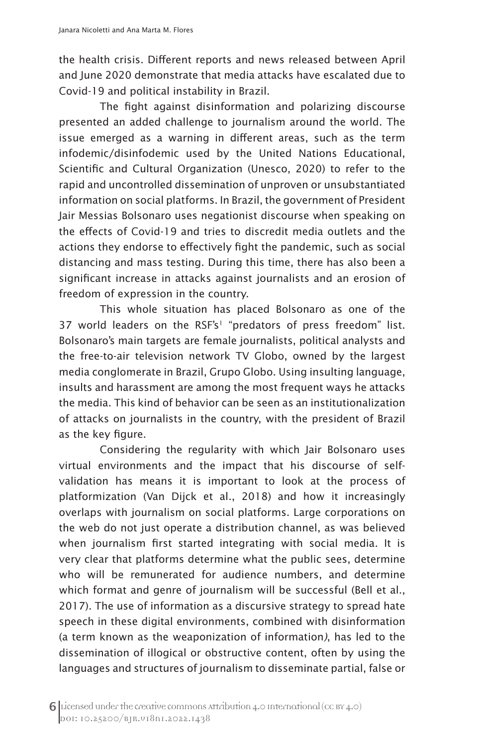the health crisis. Different reports and news released between April and June 2020 demonstrate that media attacks have escalated due to Covid-19 and political instability in Brazil.

The fight against disinformation and polarizing discourse presented an added challenge to journalism around the world. The issue emerged as a warning in different areas, such as the term infodemic/disinfodemic used by the United Nations Educational, Scientific and Cultural Organization (Unesco, 2020) to refer to the rapid and uncontrolled dissemination of unproven or unsubstantiated information on social platforms. In Brazil, the government of President Jair Messias Bolsonaro uses negationist discourse when speaking on the effects of Covid-19 and tries to discredit media outlets and the actions they endorse to effectively fight the pandemic, such as social distancing and mass testing. During this time, there has also been a significant increase in attacks against journalists and an erosion of freedom of expression in the country.

This whole situation has placed Bolsonaro as one of the 37 world leaders on the RSF's<sup>1</sup> "predators of press freedom" list. Bolsonaro's main targets are female journalists, political analysts and the free-to-air television network TV Globo, owned by the largest media conglomerate in Brazil, Grupo Globo. Using insulting language, insults and harassment are among the most frequent ways he attacks the media. This kind of behavior can be seen as an institutionalization of attacks on journalists in the country, with the president of Brazil as the key figure.

Considering the regularity with which Jair Bolsonaro uses virtual environments and the impact that his discourse of selfvalidation has means it is important to look at the process of platformization (Van Dijck et al., 2018) and how it increasingly overlaps with journalism on social platforms. Large corporations on the web do not just operate a distribution channel, as was believed when journalism first started integrating with social media. It is very clear that platforms determine what the public sees, determine who will be remunerated for audience numbers, and determine which format and genre of journalism will be successful (Bell et al., 2017). The use of information as a discursive strategy to spread hate speech in these digital environments, combined with disinformation (a term known as the weaponization of information*)*, has led to the dissemination of illogical or obstructive content, often by using the languages and structures of journalism to disseminate partial, false or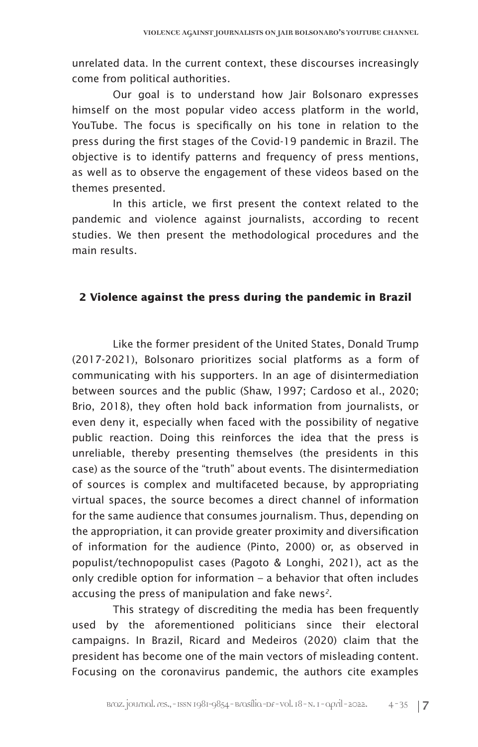unrelated data. In the current context, these discourses increasingly come from political authorities.

Our goal is to understand how Jair Bolsonaro expresses himself on the most popular video access platform in the world, YouTube. The focus is specifically on his tone in relation to the press during the first stages of the Covid-19 pandemic in Brazil. The objective is to identify patterns and frequency of press mentions, as well as to observe the engagement of these videos based on the themes presented.

In this article, we first present the context related to the pandemic and violence against journalists, according to recent studies. We then present the methodological procedures and the main results.

# **2 Violence against the press during the pandemic in Brazil**

Like the former president of the United States, Donald Trump (2017-2021), Bolsonaro prioritizes social platforms as a form of communicating with his supporters. In an age of disintermediation between sources and the public (Shaw, 1997; Cardoso et al., 2020; Brio, 2018), they often hold back information from journalists, or even deny it, especially when faced with the possibility of negative public reaction. Doing this reinforces the idea that the press is unreliable, thereby presenting themselves (the presidents in this case) as the source of the "truth" about events. The disintermediation of sources is complex and multifaceted because, by appropriating virtual spaces, the source becomes a direct channel of information for the same audience that consumes journalism. Thus, depending on the appropriation, it can provide greater proximity and diversification of information for the audience (Pinto, 2000) or, as observed in populist/technopopulist cases (Pagoto & Longhi, 2021), act as the only credible option for information – a behavior that often includes accusing the press of manipulation and fake news*2*.

This strategy of discrediting the media has been frequently used by the aforementioned politicians since their electoral campaigns. In Brazil, Ricard and Medeiros (2020) claim that the president has become one of the main vectors of misleading content. Focusing on the coronavirus pandemic, the authors cite examples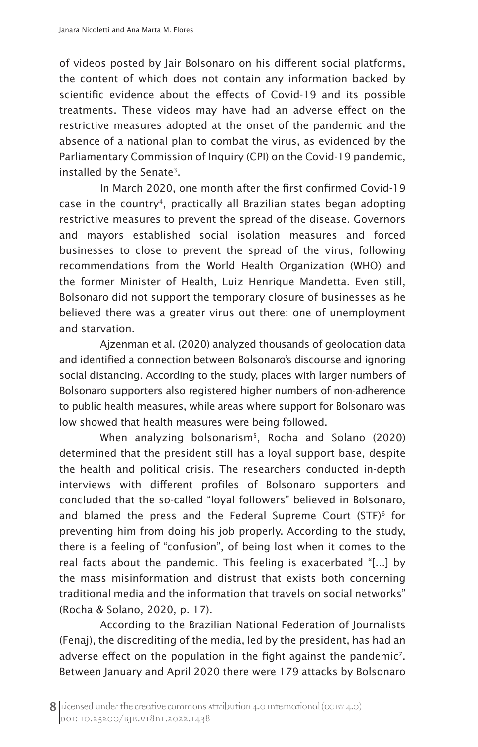of videos posted by Jair Bolsonaro on his different social platforms, the content of which does not contain any information backed by scientific evidence about the effects of Covid-19 and its possible treatments. These videos may have had an adverse effect on the restrictive measures adopted at the onset of the pandemic and the absence of a national plan to combat the virus, as evidenced by the Parliamentary Commission of Inquiry (CPI) on the Covid-19 pandemic, installed by the Senate<sup>3</sup>.

In March 2020, one month after the first confirmed Covid-19 case in the country<sup>4</sup>, practically all Brazilian states began adopting restrictive measures to prevent the spread of the disease. Governors and mayors established social isolation measures and forced businesses to close to prevent the spread of the virus, following recommendations from the World Health Organization (WHO) and the former Minister of Health, Luiz Henrique Mandetta. Even still, Bolsonaro did not support the temporary closure of businesses as he believed there was a greater virus out there: one of unemployment and starvation.

Ajzenman et al. (2020) analyzed thousands of geolocation data and identified a connection between Bolsonaro's discourse and ignoring social distancing. According to the study, places with larger numbers of Bolsonaro supporters also registered higher numbers of non-adherence to public health measures, while areas where support for Bolsonaro was low showed that health measures were being followed.

When analyzing bolsonarism<sup>5</sup>, Rocha and Solano (2020) determined that the president still has a loyal support base, despite the health and political crisis. The researchers conducted in-depth interviews with different profiles of Bolsonaro supporters and concluded that the so-called "loyal followers" believed in Bolsonaro, and blamed the press and the Federal Supreme Court (STF)<sup>6</sup> for preventing him from doing his job properly. According to the study, there is a feeling of "confusion", of being lost when it comes to the real facts about the pandemic. This feeling is exacerbated "[...] by the mass misinformation and distrust that exists both concerning traditional media and the information that travels on social networks" (Rocha & Solano, 2020, p. 17).

According to the Brazilian National Federation of Journalists (Fenaj), the discrediting of the media, led by the president, has had an adverse effect on the population in the fight against the pandemic<sup>7</sup>. Between January and April 2020 there were 179 attacks by Bolsonaro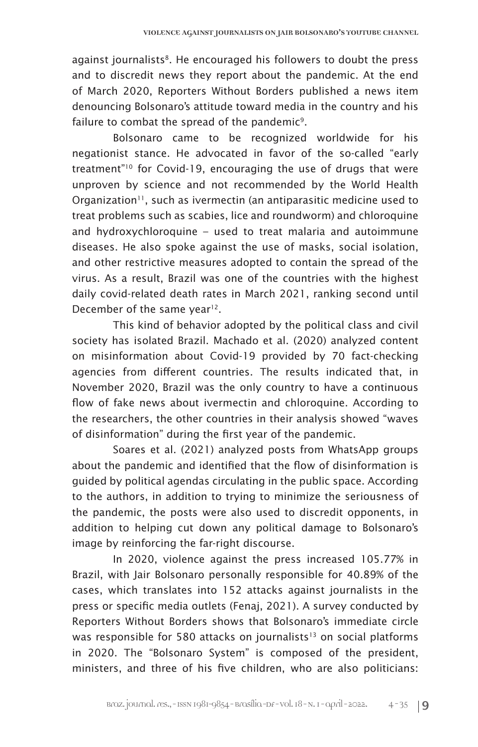against journalists<sup>8</sup>. He encouraged his followers to doubt the press and to discredit news they report about the pandemic. At the end of March 2020, Reporters Without Borders published a news item denouncing Bolsonaro's attitude toward media in the country and his failure to combat the spread of the pandemic<sup>9</sup>.

Bolsonaro came to be recognized worldwide for his negationist stance. He advocated in favor of the so-called "early treatment"10 for Covid-19, encouraging the use of drugs that were unproven by science and not recommended by the World Health Organization<sup>11</sup>, such as ivermectin (an antiparasitic medicine used to treat problems such as scabies, lice and roundworm) and chloroquine and hydroxychloroquine – used to treat malaria and autoimmune diseases. He also spoke against the use of masks, social isolation, and other restrictive measures adopted to contain the spread of the virus. As a result, Brazil was one of the countries with the highest daily covid-related death rates in March 2021, ranking second until December of the same year<sup>12</sup>.

This kind of behavior adopted by the political class and civil society has isolated Brazil. Machado et al. (2020) analyzed content on misinformation about Covid-19 provided by 70 fact-checking agencies from different countries. The results indicated that, in November 2020, Brazil was the only country to have a continuous flow of fake news about ivermectin and chloroquine. According to the researchers, the other countries in their analysis showed "waves of disinformation" during the first year of the pandemic.

Soares et al. (2021) analyzed posts from WhatsApp groups about the pandemic and identified that the flow of disinformation is guided by political agendas circulating in the public space. According to the authors, in addition to trying to minimize the seriousness of the pandemic, the posts were also used to discredit opponents, in addition to helping cut down any political damage to Bolsonaro's image by reinforcing the far-right discourse.

In 2020, violence against the press increased 105.77% in Brazil, with Jair Bolsonaro personally responsible for 40.89% of the cases, which translates into 152 attacks against journalists in the press or specific media outlets (Fenaj, 2021). A survey conducted by Reporters Without Borders shows that Bolsonaro's immediate circle was responsible for 580 attacks on journalists<sup>13</sup> on social platforms in 2020. The "Bolsonaro System" is composed of the president, ministers, and three of his five children, who are also politicians: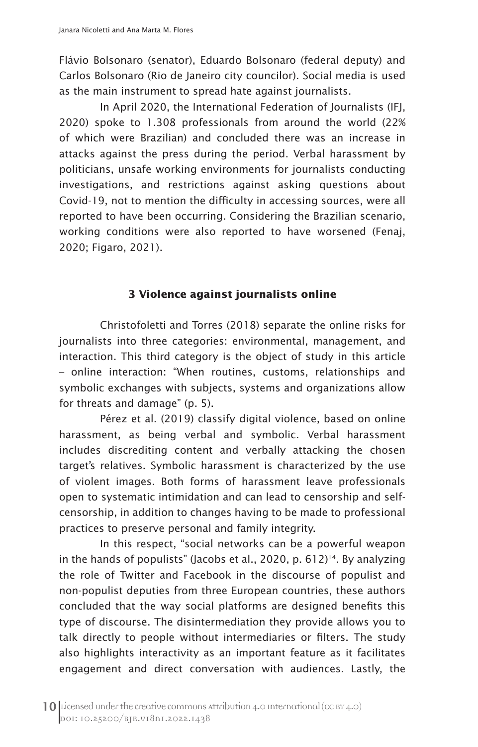Flávio Bolsonaro (senator), Eduardo Bolsonaro (federal deputy) and Carlos Bolsonaro (Rio de Janeiro city councilor). Social media is used as the main instrument to spread hate against journalists.

In April 2020, the International Federation of Journalists (IFJ, 2020) spoke to 1.308 professionals from around the world (22% of which were Brazilian) and concluded there was an increase in attacks against the press during the period. Verbal harassment by politicians, unsafe working environments for journalists conducting investigations, and restrictions against asking questions about Covid-19, not to mention the difficulty in accessing sources, were all reported to have been occurring. Considering the Brazilian scenario, working conditions were also reported to have worsened (Fenaj, 2020; Figaro, 2021).

#### **3 Violence against journalists online**

Christofoletti and Torres (2018) separate the online risks for journalists into three categories: environmental, management, and interaction. This third category is the object of study in this article – online interaction: "When routines, customs, relationships and symbolic exchanges with subjects, systems and organizations allow for threats and damage" (p. 5).

Pérez et al. (2019) classify digital violence, based on online harassment, as being verbal and symbolic. Verbal harassment includes discrediting content and verbally attacking the chosen target's relatives. Symbolic harassment is characterized by the use of violent images. Both forms of harassment leave professionals open to systematic intimidation and can lead to censorship and selfcensorship, in addition to changes having to be made to professional practices to preserve personal and family integrity.

In this respect, "social networks can be a powerful weapon in the hands of populists" (Jacobs et al., 2020, p.  $612$ )<sup>14</sup>. By analyzing the role of Twitter and Facebook in the discourse of populist and non-populist deputies from three European countries, these authors concluded that the way social platforms are designed benefits this type of discourse. The disintermediation they provide allows you to talk directly to people without intermediaries or filters. The study also highlights interactivity as an important feature as it facilitates engagement and direct conversation with audiences. Lastly, the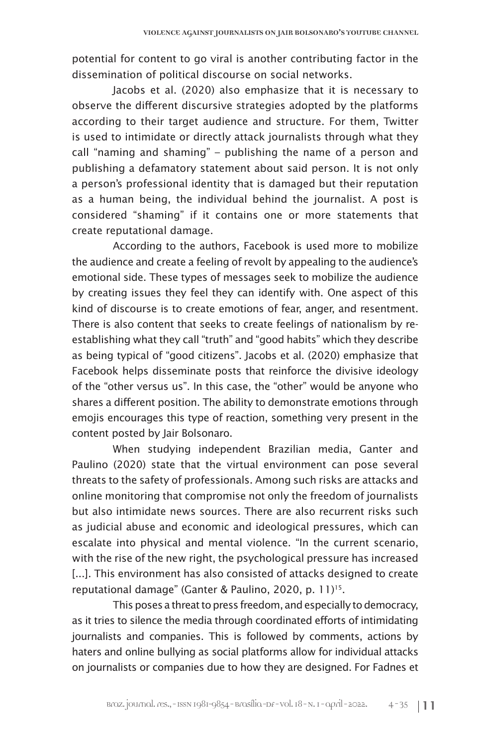potential for content to go viral is another contributing factor in the dissemination of political discourse on social networks.

Jacobs et al. (2020) also emphasize that it is necessary to observe the different discursive strategies adopted by the platforms according to their target audience and structure. For them, Twitter is used to intimidate or directly attack journalists through what they call "naming and shaming" – publishing the name of a person and publishing a defamatory statement about said person. It is not only a person's professional identity that is damaged but their reputation as a human being, the individual behind the journalist. A post is considered "shaming" if it contains one or more statements that create reputational damage.

According to the authors, Facebook is used more to mobilize the audience and create a feeling of revolt by appealing to the audience's emotional side. These types of messages seek to mobilize the audience by creating issues they feel they can identify with. One aspect of this kind of discourse is to create emotions of fear, anger, and resentment. There is also content that seeks to create feelings of nationalism by reestablishing what they call "truth" and "good habits" which they describe as being typical of "good citizens". Jacobs et al. (2020) emphasize that Facebook helps disseminate posts that reinforce the divisive ideology of the "other versus us". In this case, the "other" would be anyone who shares a different position. The ability to demonstrate emotions through emojis encourages this type of reaction, something very present in the content posted by Jair Bolsonaro.

When studying independent Brazilian media, Ganter and Paulino (2020) state that the virtual environment can pose several threats to the safety of professionals. Among such risks are attacks and online monitoring that compromise not only the freedom of journalists but also intimidate news sources. There are also recurrent risks such as judicial abuse and economic and ideological pressures, which can escalate into physical and mental violence. "In the current scenario, with the rise of the new right, the psychological pressure has increased [...]. This environment has also consisted of attacks designed to create reputational damage" (Ganter & Paulino, 2020, p. 11)<sup>15</sup>.

This poses a threat to press freedom, and especially to democracy, as it tries to silence the media through coordinated efforts of intimidating journalists and companies. This is followed by comments, actions by haters and online bullying as social platforms allow for individual attacks on journalists or companies due to how they are designed. For Fadnes et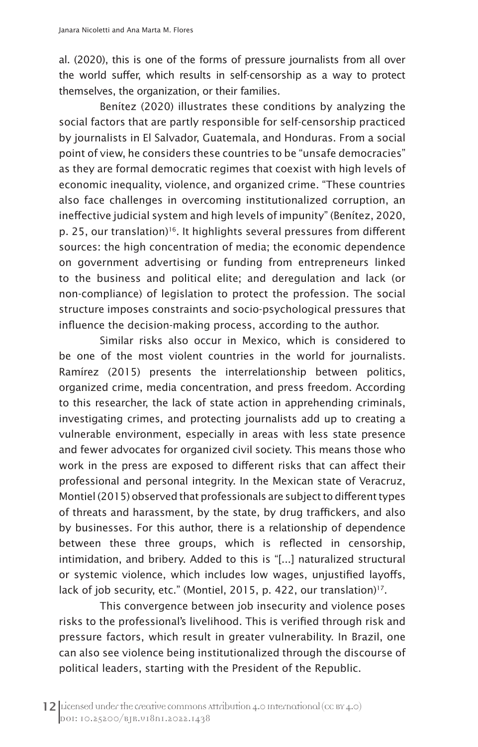al. (2020), this is one of the forms of pressure journalists from all over the world suffer, which results in self-censorship as a way to protect themselves, the organization, or their families.

Benítez (2020) illustrates these conditions by analyzing the social factors that are partly responsible for self-censorship practiced by journalists in El Salvador, Guatemala, and Honduras. From a social point of view, he considers these countries to be "unsafe democracies" as they are formal democratic regimes that coexist with high levels of economic inequality, violence, and organized crime. "These countries also face challenges in overcoming institutionalized corruption, an ineffective judicial system and high levels of impunity" (Benítez, 2020, p. 25, our translation)<sup>16</sup>. It highlights several pressures from different sources: the high concentration of media; the economic dependence on government advertising or funding from entrepreneurs linked to the business and political elite; and deregulation and lack (or non-compliance) of legislation to protect the profession. The social structure imposes constraints and socio-psychological pressures that influence the decision-making process, according to the author.

Similar risks also occur in Mexico, which is considered to be one of the most violent countries in the world for journalists. Ramírez (2015) presents the interrelationship between politics, organized crime, media concentration, and press freedom. According to this researcher, the lack of state action in apprehending criminals, investigating crimes, and protecting journalists add up to creating a vulnerable environment, especially in areas with less state presence and fewer advocates for organized civil society. This means those who work in the press are exposed to different risks that can affect their professional and personal integrity. In the Mexican state of Veracruz, Montiel (2015) observed that professionals are subject to different types of threats and harassment, by the state, by drug traffickers, and also by businesses. For this author, there is a relationship of dependence between these three groups, which is reflected in censorship, intimidation, and bribery. Added to this is "[...] naturalized structural or systemic violence, which includes low wages, unjustified layoffs, lack of job security, etc." (Montiel, 2015, p. 422, our translation)<sup>17</sup>.

This convergence between job insecurity and violence poses risks to the professional's livelihood. This is verified through risk and pressure factors, which result in greater vulnerability. In Brazil, one can also see violence being institutionalized through the discourse of political leaders, starting with the President of the Republic.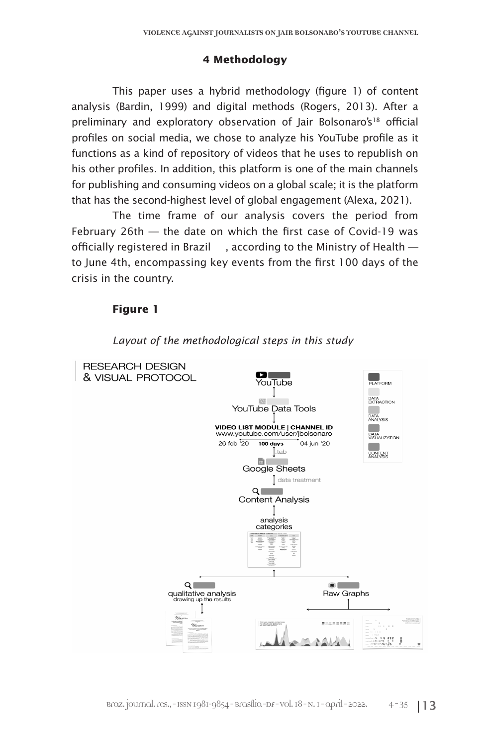#### **4 Methodology**

This paper uses a hybrid methodology (figure 1) of content analysis (Bardin, 1999) and digital methods (Rogers, 2013). After a preliminary and exploratory observation of Jair Bolsonaro's<sup>18</sup> official profiles on social media, we chose to analyze his YouTube profile as it functions as a kind of repository of videos that he uses to republish on his other profiles. In addition, this platform is one of the main channels for publishing and consuming videos on a global scale; it is the platform that has the second-highest level of global engagement (Alexa, 2021).

The time frame of our analysis covers the period from February 26th — the date on which the first case of Covid-19 was officially registered in Brazil , according to the Ministry of Health to June 4th, encompassing key events from the first 100 days of the crisis in the country.

### **Figure 1**



#### *Layout of the methodological steps in this study*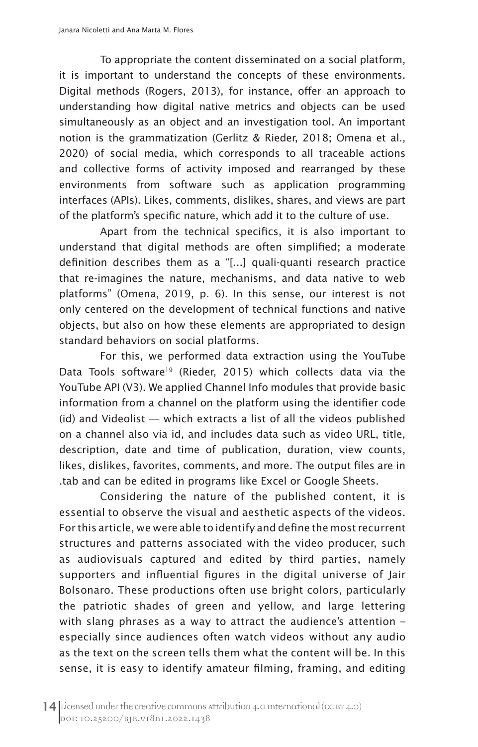To appropriate the content disseminated on a social platform, it is important to understand the concepts of these environments. Digital methods (Rogers, 2013), for instance, offer an approach to understanding how digital native metrics and objects can be used simultaneously as an object and an investigation tool. An important notion is the grammatization (Gerlitz & Rieder, 2018; Omena et al., 2020) of social media, which corresponds to all traceable actions and collective forms of activity imposed and rearranged by these environments from software such as application programming interfaces (APIs). Likes, comments, dislikes, shares, and views are part of the platform's specific nature, which add it to the culture of use.

Apart from the technical specifics, it is also important to understand that digital methods are often simplified; a moderate definition describes them as a "[...] quali-quanti research practice that re-imagines the nature, mechanisms, and data native to web platforms" (Omena, 2019, p. 6). In this sense, our interest is not only centered on the development of technical functions and native objects, but also on how these elements are appropriated to design standard behaviors on social platforms.

For this, we performed data extraction using the YouTube Data Tools software<sup>19</sup> (Rieder, 2015) which collects data via the YouTube API (V3). We applied Channel Info modules that provide basic information from a channel on the platform using the identifier code (id) and Videolist — which extracts a list of all the videos published on a channel also via id, and includes data such as video URL, title, description, date and time of publication, duration, view counts, likes, dislikes, favorites, comments, and more. The output files are in .tab and can be edited in programs like Excel or Google Sheets.

Considering the nature of the published content, it is essential to observe the visual and aesthetic aspects of the videos. For this article, we were able to identify and define the most recurrent structures and patterns associated with the video producer, such as audiovisuals captured and edited by third parties, namely supporters and influential figures in the digital universe of Jair Bolsonaro. These productions often use bright colors, particularly the patriotic shades of green and yellow, and large lettering with slang phrases as a way to attract the audience's attention – especially since audiences often watch videos without any audio as the text on the screen tells them what the content will be. In this sense, it is easy to identify amateur filming, framing, and editing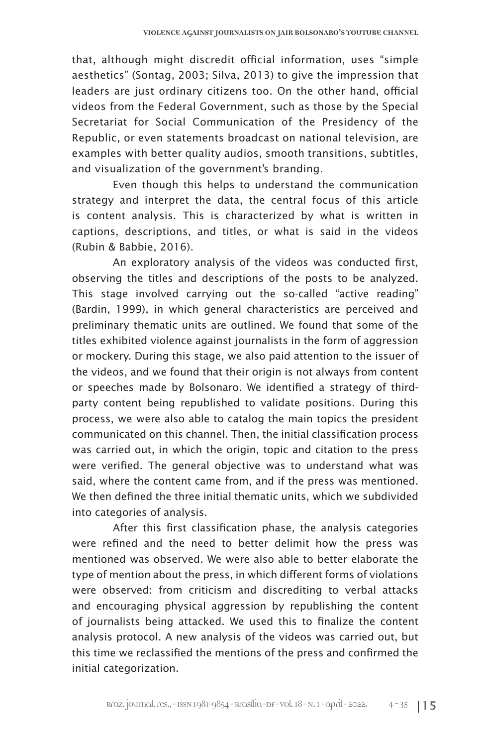that, although might discredit official information, uses "simple aesthetics" (Sontag, 2003; Silva, 2013) to give the impression that leaders are just ordinary citizens too. On the other hand, official videos from the Federal Government, such as those by the Special Secretariat for Social Communication of the Presidency of the Republic, or even statements broadcast on national television, are examples with better quality audios, smooth transitions, subtitles, and visualization of the government's branding.

Even though this helps to understand the communication strategy and interpret the data, the central focus of this article is content analysis. This is characterized by what is written in captions, descriptions, and titles, or what is said in the videos (Rubin & Babbie, 2016).

An exploratory analysis of the videos was conducted first, observing the titles and descriptions of the posts to be analyzed. This stage involved carrying out the so-called "active reading" (Bardin, 1999), in which general characteristics are perceived and preliminary thematic units are outlined. We found that some of the titles exhibited violence against journalists in the form of aggression or mockery. During this stage, we also paid attention to the issuer of the videos, and we found that their origin is not always from content or speeches made by Bolsonaro. We identified a strategy of thirdparty content being republished to validate positions. During this process, we were also able to catalog the main topics the president communicated on this channel. Then, the initial classification process was carried out, in which the origin, topic and citation to the press were verified. The general objective was to understand what was said, where the content came from, and if the press was mentioned. We then defined the three initial thematic units, which we subdivided into categories of analysis.

After this first classification phase, the analysis categories were refined and the need to better delimit how the press was mentioned was observed. We were also able to better elaborate the type of mention about the press, in which different forms of violations were observed: from criticism and discrediting to verbal attacks and encouraging physical aggression by republishing the content of journalists being attacked. We used this to finalize the content analysis protocol. A new analysis of the videos was carried out, but this time we reclassified the mentions of the press and confirmed the initial categorization.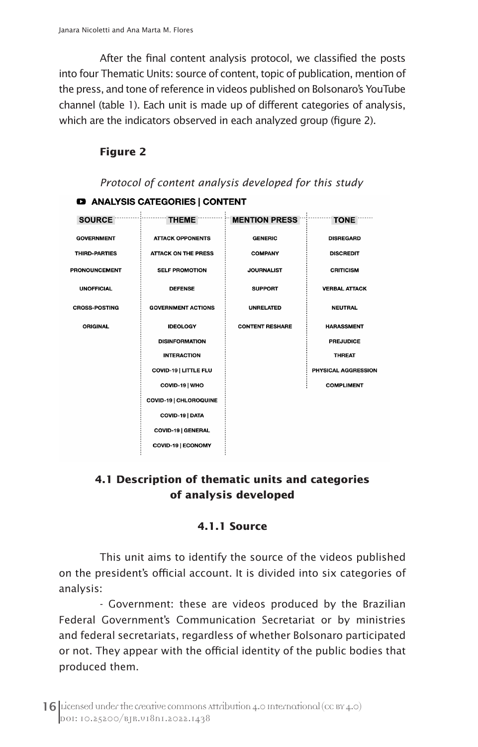After the final content analysis protocol, we classified the posts into four Thematic Units: source of content, topic of publication, mention of the press, and tone of reference in videos published on Bolsonaro's YouTube channel (table 1). Each unit is made up of different categories of analysis, which are the indicators observed in each analyzed group (figure 2).

# **Figure 2**

|                      | Protocol of content analysis developed for this study |                        |                      |  |  |
|----------------------|-------------------------------------------------------|------------------------|----------------------|--|--|
|                      | <b>EXECUTE: ANALYSIS CATEGORIES   CONTENT</b>         |                        |                      |  |  |
| <b>SOURCE</b>        | <b>THEME</b>                                          | <b>MENTION PRESS</b>   | <b>TONE</b>          |  |  |
| <b>GOVERNMENT</b>    | <b>ATTACK OPPONENTS</b>                               | <b>GENERIC</b>         | <b>DISREGARD</b>     |  |  |
| THIRD-PARTIES        | <b>ATTACK ON THE PRESS</b>                            | <b>COMPANY</b>         | <b>DISCREDIT</b>     |  |  |
| <b>PRONOUNCEMENT</b> | <b>SELF PROMOTION</b>                                 | <b>JOURNALIST</b>      | <b>CRITICISM</b>     |  |  |
| <b>UNOFFICIAL</b>    | <b>DEFENSE</b>                                        | <b>SUPPORT</b>         | <b>VERBAL ATTACK</b> |  |  |
| <b>CROSS-POSTING</b> | <b>GOVERNMENT ACTIONS</b>                             | <b>UNRELATED</b>       | <b>NEUTRAL</b>       |  |  |
| <b>ORIGINAL</b>      | <b>IDEOLOGY</b>                                       | <b>CONTENT RESHARE</b> | <b>HARASSMENT</b>    |  |  |
|                      | <b>DISINFORMATION</b>                                 |                        | <b>PREJUDICE</b>     |  |  |
|                      | <b>INTERACTION</b>                                    |                        | <b>THREAT</b>        |  |  |
|                      | COVID-19   LITTLE FLU                                 |                        | PHYSICAL AGGRESSION  |  |  |
|                      | COVID-19   WHO                                        |                        | <b>COMPLIMENT</b>    |  |  |
|                      | COVID-19   CHLOROQUINE                                |                        |                      |  |  |
|                      | COVID-19   DATA                                       |                        |                      |  |  |
|                      | COVID-19   GENERAL                                    |                        |                      |  |  |
|                      | COVID-19   ECONOMY                                    |                        |                      |  |  |

# **4.1 Description of thematic units and categories of analysis developed**

# **4.1.1 Source**

This unit aims to identify the source of the videos published on the president's official account. It is divided into six categories of analysis:

- Government: these are videos produced by the Brazilian Federal Government's Communication Secretariat or by ministries and federal secretariats, regardless of whether Bolsonaro participated or not. They appear with the official identity of the public bodies that produced them.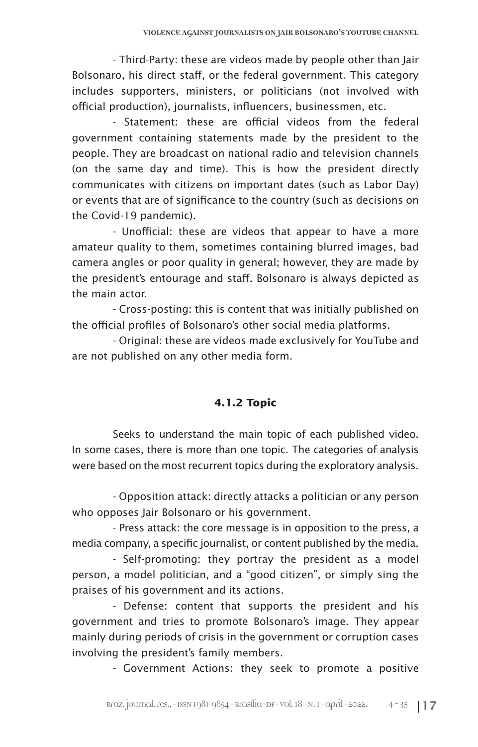- Third-Party: these are videos made by people other than Jair Bolsonaro, his direct staff, or the federal government. This category includes supporters, ministers, or politicians (not involved with official production), journalists, influencers, businessmen, etc.

- Statement: these are official videos from the federal government containing statements made by the president to the people. They are broadcast on national radio and television channels (on the same day and time). This is how the president directly communicates with citizens on important dates (such as Labor Day) or events that are of significance to the country (such as decisions on the Covid-19 pandemic).

- Unofficial: these are videos that appear to have a more amateur quality to them, sometimes containing blurred images, bad camera angles or poor quality in general; however, they are made by the president's entourage and staff. Bolsonaro is always depicted as the main actor.

- Cross-posting: this is content that was initially published on the official profiles of Bolsonaro's other social media platforms.

- Original: these are videos made exclusively for YouTube and are not published on any other media form.

# **4.1.2 Topic**

Seeks to understand the main topic of each published video. In some cases, there is more than one topic. The categories of analysis were based on the most recurrent topics during the exploratory analysis.

- Opposition attack: directly attacks a politician or any person who opposes Jair Bolsonaro or his government.

- Press attack: the core message is in opposition to the press, a media company, a specific journalist, or content published by the media.

- Self-promoting: they portray the president as a model person, a model politician, and a "good citizen", or simply sing the praises of his government and its actions.

- Defense: content that supports the president and his government and tries to promote Bolsonaro's image. They appear mainly during periods of crisis in the government or corruption cases involving the president's family members.

- Government Actions: they seek to promote a positive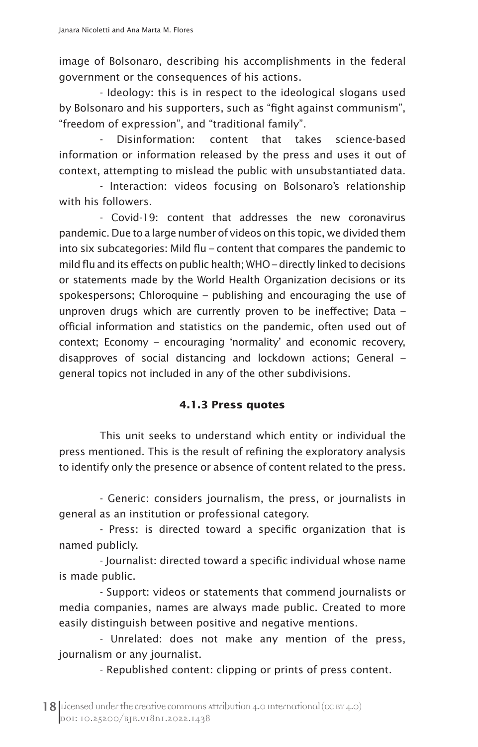image of Bolsonaro, describing his accomplishments in the federal government or the consequences of his actions.

- Ideology: this is in respect to the ideological slogans used by Bolsonaro and his supporters, such as "fight against communism", "freedom of expression", and "traditional family".

Disinformation: content that takes science-based information or information released by the press and uses it out of context, attempting to mislead the public with unsubstantiated data.

- Interaction: videos focusing on Bolsonaro's relationship with his followers.

- Covid-19: content that addresses the new coronavirus pandemic. Due to a large number of videos on this topic, we divided them into six subcategories: Mild flu – content that compares the pandemic to mild flu and its effects on public health; WHO – directly linked to decisions or statements made by the World Health Organization decisions or its spokespersons; Chloroquine – publishing and encouraging the use of unproven drugs which are currently proven to be ineffective; Data – official information and statistics on the pandemic, often used out of context; Economy – encouraging 'normality' and economic recovery, disapproves of social distancing and lockdown actions; General – general topics not included in any of the other subdivisions.

# **4.1.3 Press quotes**

This unit seeks to understand which entity or individual the press mentioned. This is the result of refining the exploratory analysis to identify only the presence or absence of content related to the press.

- Generic: considers journalism, the press, or journalists in general as an institution or professional category.

- Press: is directed toward a specific organization that is named publicly.

- Journalist: directed toward a specific individual whose name is made public.

- Support: videos or statements that commend journalists or media companies, names are always made public. Created to more easily distinguish between positive and negative mentions.

- Unrelated: does not make any mention of the press, journalism or any journalist.

- Republished content: clipping or prints of press content.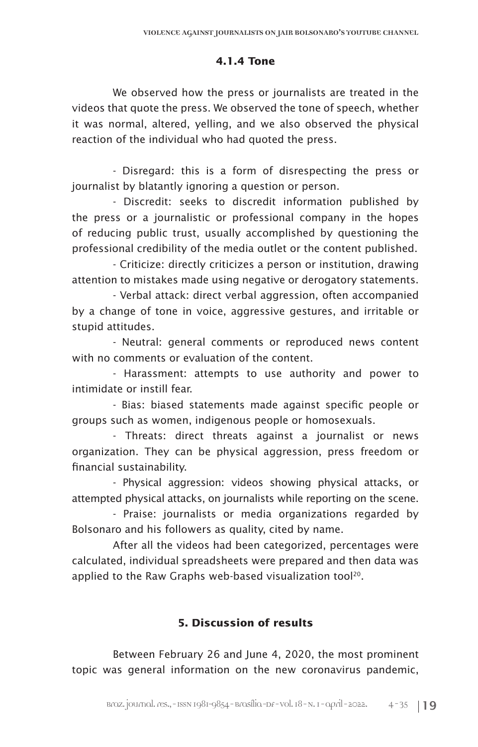# **4.1.4 Tone**

We observed how the press or journalists are treated in the videos that quote the press. We observed the tone of speech, whether it was normal, altered, yelling, and we also observed the physical reaction of the individual who had quoted the press.

- Disregard: this is a form of disrespecting the press or journalist by blatantly ignoring a question or person.

- Discredit: seeks to discredit information published by the press or a journalistic or professional company in the hopes of reducing public trust, usually accomplished by questioning the professional credibility of the media outlet or the content published.

- Criticize: directly criticizes a person or institution, drawing attention to mistakes made using negative or derogatory statements.

- Verbal attack: direct verbal aggression, often accompanied by a change of tone in voice, aggressive gestures, and irritable or stupid attitudes.

- Neutral: general comments or reproduced news content with no comments or evaluation of the content.

- Harassment: attempts to use authority and power to intimidate or instill fear.

- Bias: biased statements made against specific people or groups such as women, indigenous people or homosexuals.

- Threats: direct threats against a journalist or news organization. They can be physical aggression, press freedom or financial sustainability.

- Physical aggression: videos showing physical attacks, or attempted physical attacks, on journalists while reporting on the scene.

- Praise: journalists or media organizations regarded by Bolsonaro and his followers as quality, cited by name.

After all the videos had been categorized, percentages were calculated, individual spreadsheets were prepared and then data was applied to the Raw Graphs web-based visualization tool<sup>20</sup>.

# **5. Discussion of results**

Between February 26 and June 4, 2020, the most prominent topic was general information on the new coronavirus pandemic,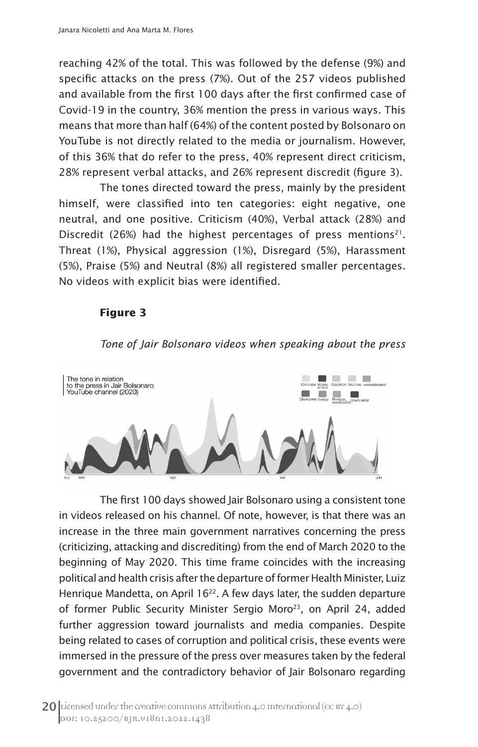reaching 42% of the total. This was followed by the defense (9%) and specific attacks on the press (7%). Out of the 257 videos published and available from the first 100 days after the first confirmed case of Covid-19 in the country, 36% mention the press in various ways. This means that more than half (64%) of the content posted by Bolsonaro on YouTube is not directly related to the media or journalism. However, of this 36% that do refer to the press, 40% represent direct criticism, 28% represent verbal attacks, and 26% represent discredit (figure 3).

The tones directed toward the press, mainly by the president himself, were classified into ten categories: eight negative, one neutral, and one positive. Criticism (40%), Verbal attack (28%) and Discredit (26%) had the highest percentages of press mentions<sup>21</sup>. Threat (1%), Physical aggression (1%), Disregard (5%), Harassment (5%), Praise (5%) and Neutral (8%) all registered smaller percentages. No videos with explicit bias were identified.

#### **Figure 3**

#### *Tone of Jair Bolsonaro videos when speaking about the press*



The first 100 days showed Jair Bolsonaro using a consistent tone in videos released on his channel. Of note, however, is that there was an increase in the three main government narratives concerning the press (criticizing, attacking and discrediting) from the end of March 2020 to the beginning of May 2020. This time frame coincides with the increasing political and health crisis after the departure of former Health Minister, Luiz Henrique Mandetta, on April 16<sup>22</sup>. A few days later, the sudden departure of former Public Security Minister Sergio Moro<sup>23</sup>, on April 24, added further aggression toward journalists and media companies. Despite being related to cases of corruption and political crisis, these events were immersed in the pressure of the press over measures taken by the federal government and the contradictory behavior of Jair Bolsonaro regarding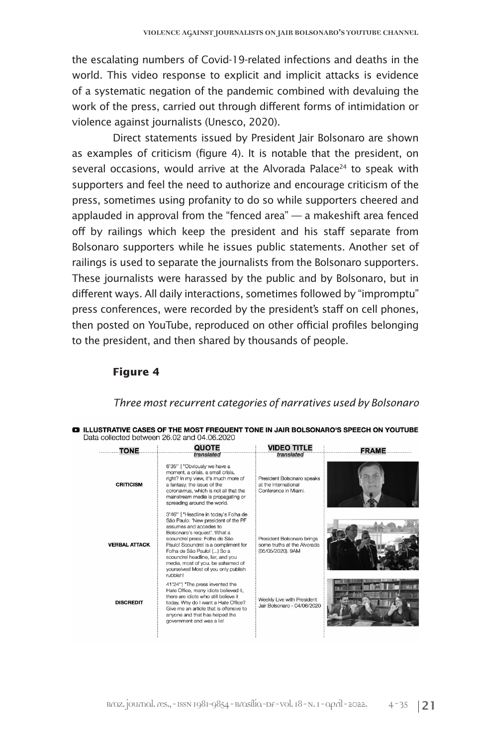the escalating numbers of Covid-19-related infections and deaths in the world. This video response to explicit and implicit attacks is evidence of a systematic negation of the pandemic combined with devaluing the work of the press, carried out through different forms of intimidation or violence against journalists (Unesco, 2020).

Direct statements issued by President Jair Bolsonaro are shown as examples of criticism (figure 4). It is notable that the president, on several occasions, would arrive at the Alvorada Palace<sup>24</sup> to speak with supporters and feel the need to authorize and encourage criticism of the press, sometimes using profanity to do so while supporters cheered and applauded in approval from the "fenced area" — a makeshift area fenced off by railings which keep the president and his staff separate from Bolsonaro supporters while he issues public statements. Another set of railings is used to separate the journalists from the Bolsonaro supporters. These journalists were harassed by the public and by Bolsonaro, but in different ways. All daily interactions, sometimes followed by "impromptu" press conferences, were recorded by the president's staff on cell phones, then posted on YouTube, reproduced on other official profiles belonging to the president, and then shared by thousands of people.

#### **Figure 4**

#### *Three most recurrent categories of narratives used by Bolsonaro*

| .TONE                | <b>QUOTE</b>                                                                                                                                                                                                                                                                                                                                                                 | <b>VIDEO TITLE</b>                                                                       | FRAME. |  |  |
|----------------------|------------------------------------------------------------------------------------------------------------------------------------------------------------------------------------------------------------------------------------------------------------------------------------------------------------------------------------------------------------------------------|------------------------------------------------------------------------------------------|--------|--|--|
| <b>CRITICISM</b>     | translated<br>6'35"   "Obviously we have a<br>moment, a crisis, a small crisis,<br>right? In my view, it's much more of<br>a fantasy, the issue of the<br>coronavirus, which is not all that the<br>mainstream media is propagating or<br>spreading around the world.                                                                                                        | translated<br>President Bolsonaro speaks<br>at the International<br>Conference in Miami. |        |  |  |
| <b>VERBAL ATTACK</b> | 3'46"   "Headline in today's Folha de<br>São Paulo: 'New president of the PF<br>assumes and accedes to<br>Bolsonaro's request'. What a<br>scoundrel press: Folha de São<br>Paulo! Scoundrel is a compliment for<br>Folha de São Paulo! () So a<br>scoundrel headline, liar, and you<br>media, most of you, be ashamed of<br>vourselves! Most of you only publish<br>rubbish! | President Bolsonaro brings<br>some truths at the Alvorada<br>(05/05/2020). 9AM           |        |  |  |
| <b>DISCREDIT</b>     | 41'24"  "The press invented the<br>Hate Office, many idiots believed it.<br>there are idiots who still believe it<br>today. Why do I want a Hate Office?<br>Give me an article that is offensive to<br>anyone and that has helped the<br>government and was a lie!                                                                                                           | Weekly Live with President<br>Jair Bolsonaro - 04/06/2020                                |        |  |  |

|                                             |  | <b>E3</b> ILLUSTRATIVE CASES OF THE MOST FREQUENT TONE IN JAIR BOLSONARO'S SPEECH ON YOUTUBE |
|---------------------------------------------|--|----------------------------------------------------------------------------------------------|
| Data collected between 26.02 and 04.06.2020 |  |                                                                                              |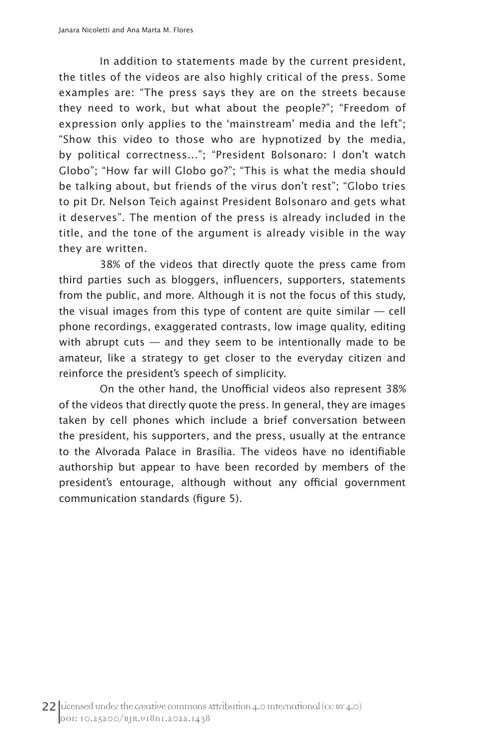In addition to statements made by the current president, the titles of the videos are also highly critical of the press. Some examples are: "The press says they are on the streets because they need to work, but what about the people?"; "Freedom of expression only applies to the 'mainstream' media and the left"; "Show this video to those who are hypnotized by the media, by political correctness..."; "President Bolsonaro: I don't watch Globo"; "How far will Globo go?"; "This is what the media should be talking about, but friends of the virus don't rest"; "Globo tries to pit Dr. Nelson Teich against President Bolsonaro and gets what it deserves". The mention of the press is already included in the title, and the tone of the argument is already visible in the way they are written.

38% of the videos that directly quote the press came from third parties such as bloggers, influencers, supporters, statements from the public, and more. Although it is not the focus of this study, the visual images from this type of content are quite similar  $-$  cell phone recordings, exaggerated contrasts, low image quality, editing with abrupt cuts  $-$  and they seem to be intentionally made to be amateur, like a strategy to get closer to the everyday citizen and reinforce the president's speech of simplicity.

On the other hand, the Unofficial videos also represent 38% of the videos that directly quote the press. In general, they are images taken by cell phones which include a brief conversation between the president, his supporters, and the press, usually at the entrance to the Alvorada Palace in Brasília. The videos have no identifiable authorship but appear to have been recorded by members of the president's entourage, although without any official government communication standards (figure 5).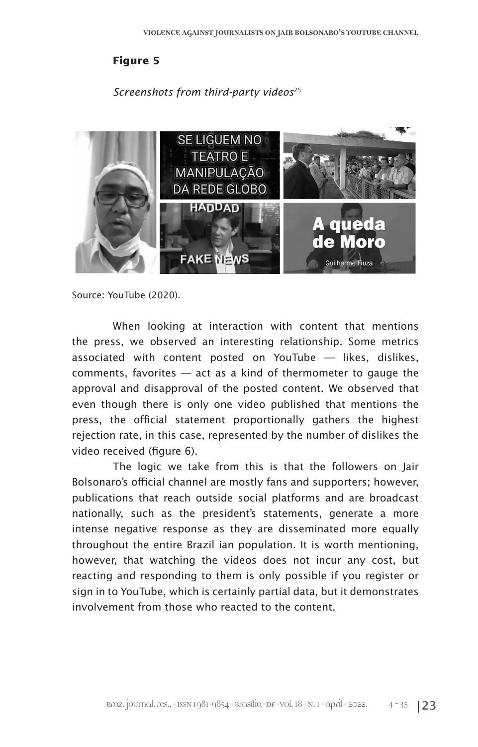#### **Figure 5**

#### *Screenshots from third-party videos*<sup>25</sup>



Source: YouTube (2020).

When looking at interaction with content that mentions the press, we observed an interesting relationship. Some metrics associated with content posted on YouTube — likes, dislikes, comments, favorites — act as a kind of thermometer to gauge the approval and disapproval of the posted content. We observed that even though there is only one video published that mentions the press, the official statement proportionally gathers the highest rejection rate, in this case, represented by the number of dislikes the video received (figure 6).

The logic we take from this is that the followers on Jair Bolsonaro's official channel are mostly fans and supporters; however, publications that reach outside social platforms and are broadcast nationally, such as the president's statements, generate a more intense negative response as they are disseminated more equally throughout the entire Brazil ian population. It is worth mentioning, however, that watching the videos does not incur any cost, but reacting and responding to them is only possible if you register or sign in to YouTube, which is certainly partial data, but it demonstrates involvement from those who reacted to the content.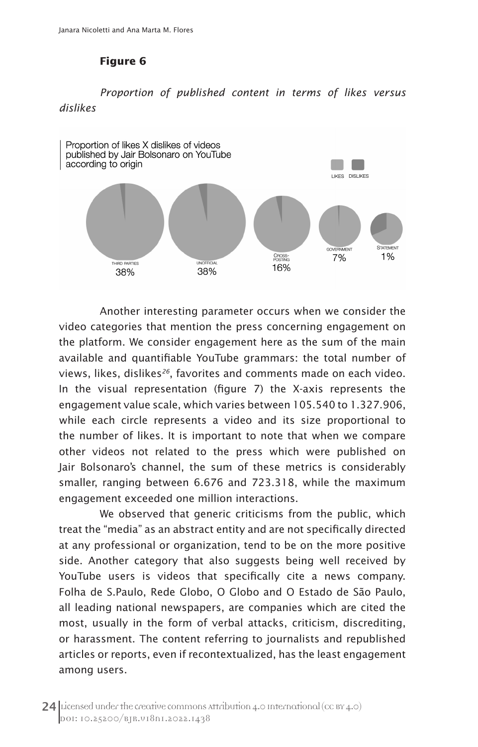### **Figure 6**

# *Proportion of published content in terms of likes versus dislikes*



Another interesting parameter occurs when we consider the video categories that mention the press concerning engagement on the platform. We consider engagement here as the sum of the main available and quantifiable YouTube grammars: the total number of views, likes, dislikes*26*, favorites and comments made on each video. In the visual representation (figure 7) the X-axis represents the engagement value scale, which varies between 105.540 to 1.327.906, while each circle represents a video and its size proportional to the number of likes. It is important to note that when we compare other videos not related to the press which were published on Jair Bolsonaro's channel, the sum of these metrics is considerably smaller, ranging between 6.676 and 723.318, while the maximum engagement exceeded one million interactions.

We observed that generic criticisms from the public, which treat the "media" as an abstract entity and are not specifically directed at any professional or organization, tend to be on the more positive side. Another category that also suggests being well received by YouTube users is videos that specifically cite a news company. Folha de S.Paulo, Rede Globo, O Globo and O Estado de São Paulo, all leading national newspapers, are companies which are cited the most, usually in the form of verbal attacks, criticism, discrediting, or harassment. The content referring to journalists and republished articles or reports, even if recontextualized, has the least engagement among users.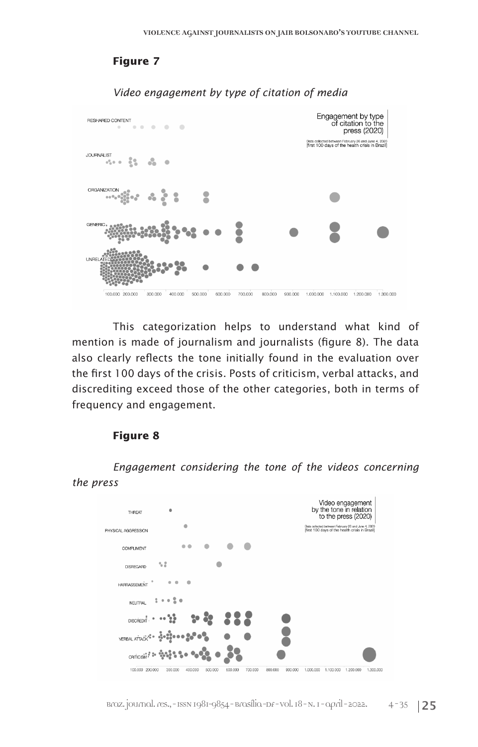# **Figure 7**



*Video engagement by type of citation of media*

This categorization helps to understand what kind of mention is made of journalism and journalists (figure 8). The data also clearly reflects the tone initially found in the evaluation over the first 100 days of the crisis. Posts of criticism, verbal attacks, and discrediting exceed those of the other categories, both in terms of frequency and engagement.

#### **Figure 8**

*Engagement considering the tone of the videos concerning the press*

| THREAT              |         |         |         |         |         |         |         |           |           | Video engagement<br>by the tone in relation<br>to the press (2020)<br>Data collected between February 26 and June 4, 2020 |          |
|---------------------|---------|---------|---------|---------|---------|---------|---------|-----------|-----------|---------------------------------------------------------------------------------------------------------------------------|----------|
| PHYSICAL AGGRESSION |         |         |         |         |         |         |         |           |           | [first 100 days of the health crisis in Brazil]                                                                           |          |
| COMPLIMENT          |         |         |         |         |         |         |         |           |           |                                                                                                                           |          |
| DISREGARD           | 58      |         |         |         |         |         |         |           |           |                                                                                                                           |          |
| <b>HARRASSEMENT</b> |         |         |         |         |         |         |         |           |           |                                                                                                                           |          |
| <b>NEUTRAL</b>      |         |         |         |         |         |         |         |           |           |                                                                                                                           |          |
| <b>DISCREDIT</b>    |         |         |         |         |         |         |         |           |           |                                                                                                                           |          |
| VERBAL ATTAC        |         |         |         |         |         |         |         |           |           |                                                                                                                           |          |
| CRITICIS            |         |         |         |         |         |         |         |           |           |                                                                                                                           |          |
| 100.000 200.000     | 300.000 | 400.000 | 500.000 | 600.000 | 700.000 | 800.000 | 900.000 | 1.000.000 | 1.100.000 | 1.200.000                                                                                                                 | 1.300.00 |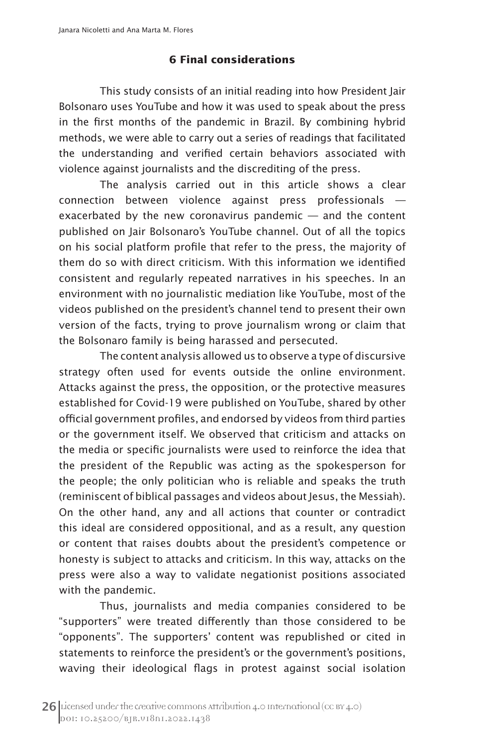#### **6 Final considerations**

This study consists of an initial reading into how President Jair Bolsonaro uses YouTube and how it was used to speak about the press in the first months of the pandemic in Brazil. By combining hybrid methods, we were able to carry out a series of readings that facilitated the understanding and verified certain behaviors associated with violence against journalists and the discrediting of the press.

The analysis carried out in this article shows a clear connection between violence against press professionals exacerbated by the new coronavirus pandemic — and the content published on Jair Bolsonaro's YouTube channel. Out of all the topics on his social platform profile that refer to the press, the majority of them do so with direct criticism. With this information we identified consistent and regularly repeated narratives in his speeches. In an environment with no journalistic mediation like YouTube, most of the videos published on the president's channel tend to present their own version of the facts, trying to prove journalism wrong or claim that the Bolsonaro family is being harassed and persecuted.

The content analysis allowed us to observe a type of discursive strategy often used for events outside the online environment. Attacks against the press, the opposition, or the protective measures established for Covid-19 were published on YouTube, shared by other official government profiles, and endorsed by videos from third parties or the government itself. We observed that criticism and attacks on the media or specific journalists were used to reinforce the idea that the president of the Republic was acting as the spokesperson for the people; the only politician who is reliable and speaks the truth (reminiscent of biblical passages and videos about Jesus, the Messiah). On the other hand, any and all actions that counter or contradict this ideal are considered oppositional, and as a result, any question or content that raises doubts about the president's competence or honesty is subject to attacks and criticism. In this way, attacks on the press were also a way to validate negationist positions associated with the pandemic.

Thus, journalists and media companies considered to be "supporters" were treated differently than those considered to be "opponents". The supporters' content was republished or cited in statements to reinforce the president's or the government's positions, waving their ideological flags in protest against social isolation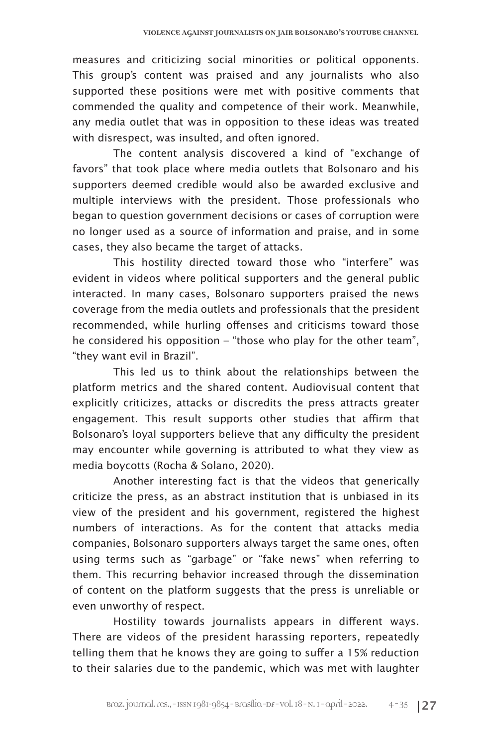measures and criticizing social minorities or political opponents. This group's content was praised and any journalists who also supported these positions were met with positive comments that commended the quality and competence of their work. Meanwhile, any media outlet that was in opposition to these ideas was treated with disrespect, was insulted, and often ignored.

The content analysis discovered a kind of "exchange of favors" that took place where media outlets that Bolsonaro and his supporters deemed credible would also be awarded exclusive and multiple interviews with the president. Those professionals who began to question government decisions or cases of corruption were no longer used as a source of information and praise, and in some cases, they also became the target of attacks.

This hostility directed toward those who "interfere" was evident in videos where political supporters and the general public interacted. In many cases, Bolsonaro supporters praised the news coverage from the media outlets and professionals that the president recommended, while hurling offenses and criticisms toward those he considered his opposition – "those who play for the other team", "they want evil in Brazil".

This led us to think about the relationships between the platform metrics and the shared content. Audiovisual content that explicitly criticizes, attacks or discredits the press attracts greater engagement. This result supports other studies that affirm that Bolsonaro's loyal supporters believe that any difficulty the president may encounter while governing is attributed to what they view as media boycotts (Rocha & Solano, 2020).

Another interesting fact is that the videos that generically criticize the press, as an abstract institution that is unbiased in its view of the president and his government, registered the highest numbers of interactions. As for the content that attacks media companies, Bolsonaro supporters always target the same ones, often using terms such as "garbage" or "fake news" when referring to them. This recurring behavior increased through the dissemination of content on the platform suggests that the press is unreliable or even unworthy of respect.

Hostility towards journalists appears in different ways. There are videos of the president harassing reporters, repeatedly telling them that he knows they are going to suffer a 15% reduction to their salaries due to the pandemic, which was met with laughter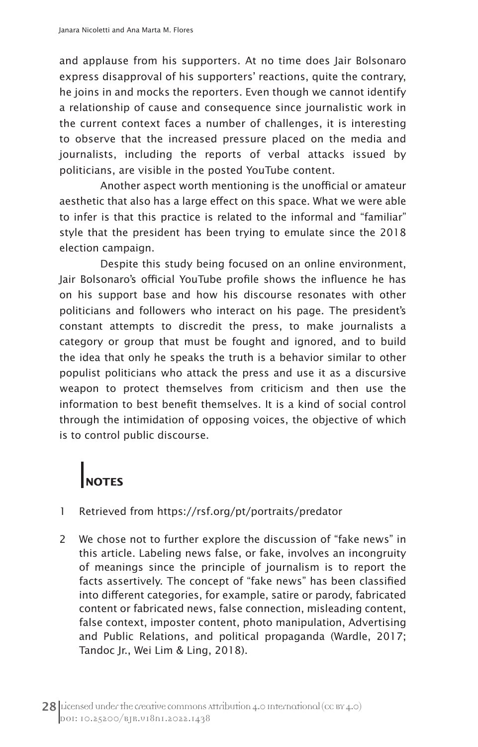and applause from his supporters. At no time does Jair Bolsonaro express disapproval of his supporters' reactions, quite the contrary, he joins in and mocks the reporters. Even though we cannot identify a relationship of cause and consequence since journalistic work in the current context faces a number of challenges, it is interesting to observe that the increased pressure placed on the media and journalists, including the reports of verbal attacks issued by politicians, are visible in the posted YouTube content.

Another aspect worth mentioning is the unofficial or amateur aesthetic that also has a large effect on this space. What we were able to infer is that this practice is related to the informal and "familiar" style that the president has been trying to emulate since the 2018 election campaign.

Despite this study being focused on an online environment, Jair Bolsonaro's official YouTube profile shows the influence he has on his support base and how his discourse resonates with other politicians and followers who interact on his page. The president's constant attempts to discredit the press, to make journalists a category or group that must be fought and ignored, and to build the idea that only he speaks the truth is a behavior similar to other populist politicians who attack the press and use it as a discursive weapon to protect themselves from criticism and then use the information to best benefit themselves. It is a kind of social control through the intimidation of opposing voices, the objective of which is to control public discourse.

# **NOTES**

- 1 Retrieved from https://rsf.org/pt/portraits/predator
- 2 We chose not to further explore the discussion of "fake news" in this article. Labeling news false, or fake, involves an incongruity of meanings since the principle of journalism is to report the facts assertively. The concept of "fake news" has been classified into different categories, for example, satire or parody, fabricated content or fabricated news, false connection, misleading content, false context, imposter content, photo manipulation, Advertising and Public Relations, and political propaganda (Wardle, 2017; Tandoc Jr., Wei Lim & Ling, 2018).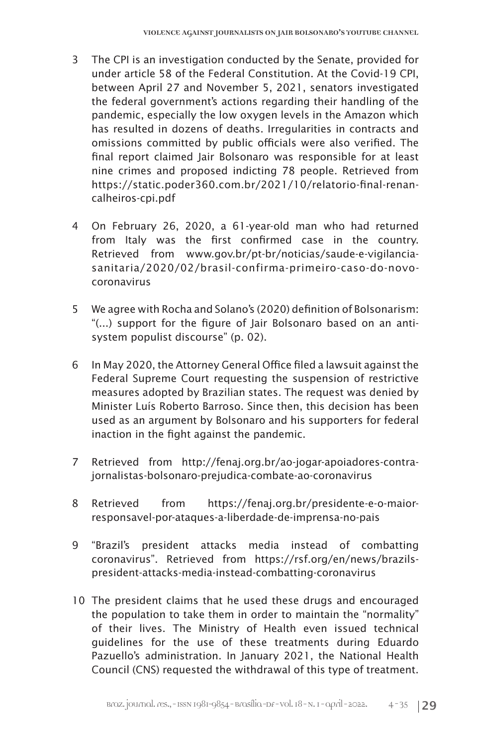- 3 The CPI is an investigation conducted by the Senate, provided for under article 58 of the Federal Constitution. At the Covid-19 CPI, between April 27 and November 5, 2021, senators investigated the federal government's actions regarding their handling of the pandemic, especially the low oxygen levels in the Amazon which has resulted in dozens of deaths. Irregularities in contracts and omissions committed by public officials were also verified. The final report claimed Jair Bolsonaro was responsible for at least nine crimes and proposed indicting 78 people. Retrieved from https://static.poder360.com.br/2021/10/relatorio-final-renancalheiros-cpi.pdf
- 4 On February 26, 2020, a 61-year-old man who had returned from Italy was the first confirmed case in the country. Retrieved from www.gov.br/pt-br/noticias/saude-e-vigilanciasanitaria/2020/02/brasil-confirma-primeiro-caso-do-novocoronavirus
- 5 We agree with Rocha and Solano's (2020) definition of Bolsonarism: "(...) support for the figure of Jair Bolsonaro based on an antisystem populist discourse" (p. 02).
- 6 In May 2020, the Attorney General Office filed a lawsuit against the Federal Supreme Court requesting the suspension of restrictive measures adopted by Brazilian states. The request was denied by Minister Luís Roberto Barroso. Since then, this decision has been used as an argument by Bolsonaro and his supporters for federal inaction in the fight against the pandemic.
- 7 Retrieved from http://fenaj.org.br/ao-jogar-apoiadores-contrajornalistas-bolsonaro-prejudica-combate-ao-coronavirus
- 8 Retrieved from https://fenaj.org.br/presidente-e-o-maiorresponsavel-por-ataques-a-liberdade-de-imprensa-no-pais
- 9 "Brazil's president attacks media instead of combatting coronavirus". Retrieved from https://rsf.org/en/news/brazilspresident-attacks-media-instead-combatting-coronavirus
- 10 The president claims that he used these drugs and encouraged the population to take them in order to maintain the "normality" of their lives. The Ministry of Health even issued technical guidelines for the use of these treatments during Eduardo Pazuello's administration. In January 2021, the National Health Council (CNS) requested the withdrawal of this type of treatment.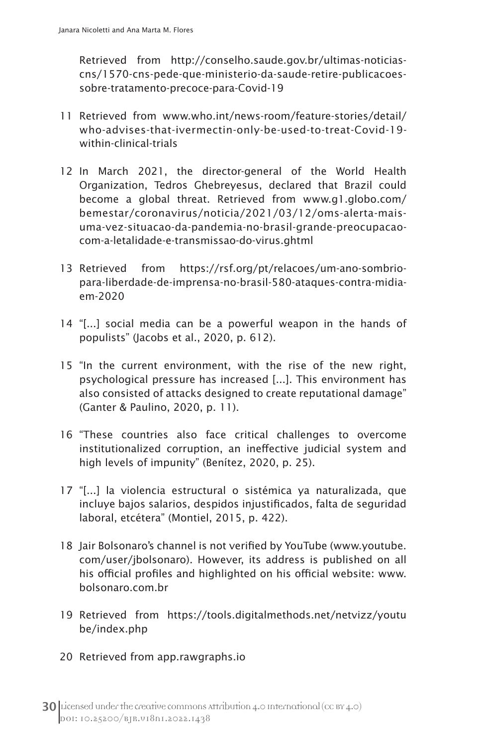Retrieved from http://conselho.saude.gov.br/ultimas-noticiascns/1570-cns-pede-que-ministerio-da-saude-retire-publicacoessobre-tratamento-precoce-para-Covid-19

- 11 Retrieved from www.who.int/news-room/feature-stories/detail/ who-advises-that-ivermectin-only-be-used-to-treat-Covid-19 within-clinical-trials
- 12 In March 2021, the director-general of the World Health Organization, Tedros Ghebreyesus, declared that Brazil could become a global threat. Retrieved from www.g1.globo.com/ bemestar/coronavirus/noticia/2021/03/12/oms-alerta-maisuma-vez-situacao-da-pandemia-no-brasil-grande-preocupacaocom-a-letalidade-e-transmissao-do-virus.ghtml
- 13 Retrieved from https://rsf.org/pt/relacoes/um-ano-sombriopara-liberdade-de-imprensa-no-brasil-580-ataques-contra-midiaem-2020
- 14 "[...] social media can be a powerful weapon in the hands of populists" (Jacobs et al., 2020, p. 612).
- 15 "In the current environment, with the rise of the new right, psychological pressure has increased [...]. This environment has also consisted of attacks designed to create reputational damage" (Ganter & Paulino, 2020, p. 11).
- 16 "These countries also face critical challenges to overcome institutionalized corruption, an ineffective judicial system and high levels of impunity" (Benítez, 2020, p. 25).
- 17 "[...] la violencia estructural o sistémica ya naturalizada, que incluye bajos salarios, despidos injustificados, falta de seguridad laboral, etcétera" (Montiel, 2015, p. 422).
- 18 Jair Bolsonaro's channel is not verified by YouTube (www.youtube. com/user/jbolsonaro). However, its address is published on all his official profiles and highlighted on his official website: www. bolsonaro.com.br
- 19 Retrieved from https://tools.digitalmethods.net/netvizz/youtu be/index.php
- 20 Retrieved from app.rawgraphs.io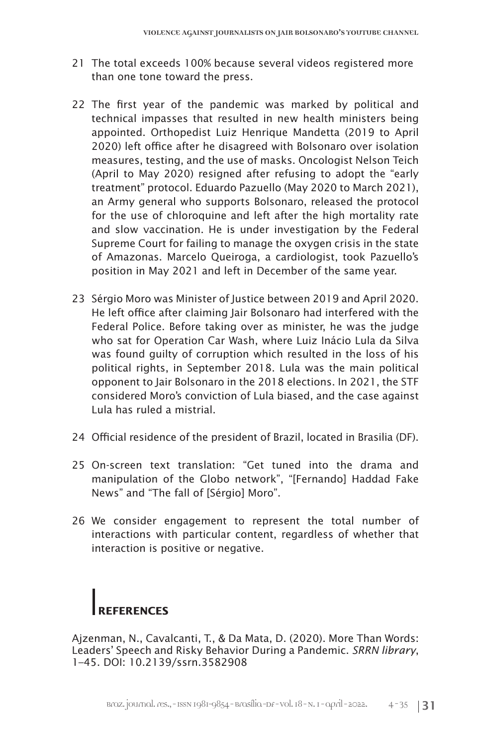- 21 The total exceeds 100% because several videos registered more than one tone toward the press.
- 22 The first year of the pandemic was marked by political and technical impasses that resulted in new health ministers being appointed. Orthopedist Luiz Henrique Mandetta (2019 to April 2020) left office after he disagreed with Bolsonaro over isolation measures, testing, and the use of masks. Oncologist Nelson Teich (April to May 2020) resigned after refusing to adopt the "early treatment" protocol. Eduardo Pazuello (May 2020 to March 2021), an Army general who supports Bolsonaro, released the protocol for the use of chloroquine and left after the high mortality rate and slow vaccination. He is under investigation by the Federal Supreme Court for failing to manage the oxygen crisis in the state of Amazonas. Marcelo Queiroga, a cardiologist, took Pazuello's position in May 2021 and left in December of the same year.
- 23 Sérgio Moro was Minister of Justice between 2019 and April 2020. He left office after claiming Jair Bolsonaro had interfered with the Federal Police. Before taking over as minister, he was the judge who sat for Operation Car Wash, where Luiz Inácio Lula da Silva was found guilty of corruption which resulted in the loss of his political rights, in September 2018. Lula was the main political opponent to Jair Bolsonaro in the 2018 elections. In 2021, the STF considered Moro's conviction of Lula biased, and the case against Lula has ruled a mistrial.
- 24 Official residence of the president of Brazil, located in Brasilia (DF).
- 25 On-screen text translation: "Get tuned into the drama and manipulation of the Globo network", "[Fernando] Haddad Fake News" and "The fall of [Sérgio] Moro".
- 26 We consider engagement to represent the total number of interactions with particular content, regardless of whether that interaction is positive or negative.

# **REFERENCES**

Ajzenman, N., Cavalcanti, T., & Da Mata, D. (2020). More Than Words: Leaders' Speech and Risky Behavior During a Pandemic. *SRRN library*, 1–45. DOI: 10.2139/ssrn.3582908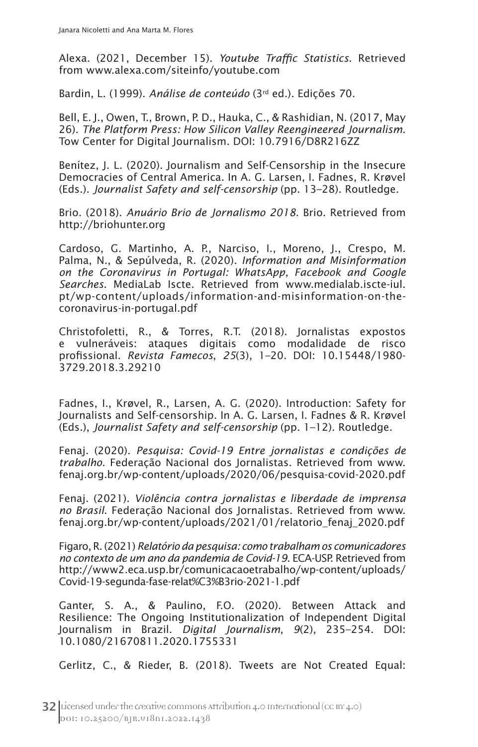Alexa. (2021, December 15). *Youtube Traffic Statistics*. Retrieved from www.alexa.com/siteinfo/youtube.com

Bardin, L. (1999). *Análise de conteúdo* (3rd ed.). Edições 70.

Bell, E. J., Owen, T., Brown, P. D., Hauka, C., & Rashidian, N. (2017, May 26). *The Platform Press: How Silicon Valley Reengineered Journalism*. Tow Center for Digital Journalism. DOI: 10.7916/D8R216ZZ

Benítez, J. L. (2020). Journalism and Self-Censorship in the Insecure Democracies of Central America. In A. G. Larsen, I. Fadnes, R. Krøvel (Eds.). *Journalist Safety and self-censorship* (pp. 13–28). Routledge.

Brio. (2018). *Anuário Brio de Jornalismo 2018*. Brio. Retrieved from http://briohunter.org

Cardoso, G. Martinho, A. P., Narciso, I., Moreno, J., Crespo, M. Palma, N., & Sepúlveda, R. (2020). *Information and Misinformation on the Coronavirus in Portugal: WhatsApp, Facebook and Google Searches*. MediaLab Iscte. Retrieved from www.medialab.iscte-iul. pt/wp-content/uploads/information-and-misinformation-on-thecoronavirus-in-portugal.pdf

Christofoletti, R., & Torres, R.T. (2018). Jornalistas expostos e vulneráveis: ataques digitais como modalidade de risco profissional. *Revista Famecos*, *25*(3), 1–20. DOI: 10.15448/1980- 3729.2018.3.29210

Fadnes, I., Krøvel, R., Larsen, A. G. (2020). Introduction: Safety for Journalists and Self-censorship. In A. G. Larsen, I. Fadnes & R. Krøvel (Eds.), *Journalist Safety and self-censorship* (pp. 1–12). Routledge.

Fenaj. (2020). *Pesquisa: Covid-19 Entre jornalistas e condições de trabalho*. Federação Nacional dos Jornalistas. Retrieved from www. fenaj.org.br/wp-content/uploads/2020/06/pesquisa-covid-2020.pdf

Fenaj. (2021). *Violência contra jornalistas e liberdade de imprensa no Brasil*. Federação Nacional dos Jornalistas. Retrieved from www. fenaj.org.br/wp-content/uploads/2021/01/relatorio\_fenaj\_2020.pdf

Figaro, R. (2021) *Relatório da pesquisa: como trabalham os comunicadores no contexto de um ano da pandemia de Covid-19*. ECA-USP. Retrieved from http://www2.eca.usp.br/comunicacaoetrabalho/wp-content/uploads/ Covid-19-segunda-fase-relat%C3%B3rio-2021-1.pdf

Ganter, S. A., & Paulino, F.O. (2020). Between Attack and Resilience: The Ongoing Institutionalization of Independent Digital Journalism in Brazil. *Digital Journalism*, *9*(2), 235–254. DOI: 10.1080/21670811.2020.1755331

Gerlitz, C., & Rieder, B. (2018). Tweets are Not Created Equal: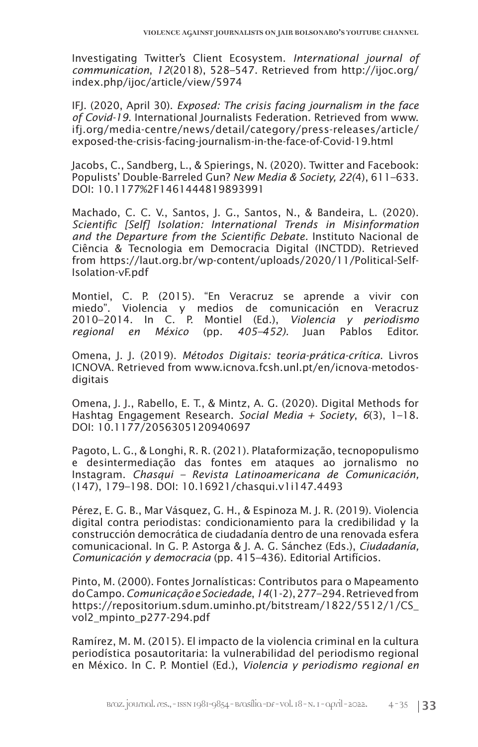Investigating Twitter's Client Ecosystem. *International journal of communication*, *12*(2018), 528–547. Retrieved from http://ijoc.org/ index.php/ijoc/article/view/5974

IFJ. (2020, April 30). *Exposed: The crisis facing journalism in the face of Covid-19*. International Journalists Federation. Retrieved from www. ifj.org/media-centre/news/detail/category/press-releases/article/ exposed-the-crisis-facing-journalism-in-the-face-of-Covid-19.html

Jacobs, C., Sandberg, L., & Spierings, N. (2020). Twitter and Facebook: Populists' Double-Barreled Gun? *New Media & Society, 22(*4), 611–633. DOI: 10.1177%2F1461444819893991

Machado, C. C. V., Santos, J. G., Santos, N., & Bandeira, L. (2020). *Scientific [Self] Isolation: International Trends in Misinformation and the Departure from the Scientific Debate.* Instituto Nacional de Ciência & Tecnologia em Democracia Digital (INCTDD). Retrieved from https://laut.org.br/wp-content/uploads/2020/11/Political-Self-Isolation-vF.pdf

Montiel, C. P. (2015). "En Veracruz se aprende a vivir con miedo". Violencia y medios de comunicación en Veracruz 2010–2014. In C. P. Montiel (Ed.), *Violencia y periodismo regional en México* (pp. *405–452).* Juan Pablos Editor.

Omena, J. J. (2019). *Métodos Digitais: teoria-prática-crítica*. Livros ICNOVA. Retrieved from www.icnova.fcsh.unl.pt/en/icnova-metodosdigitais

Omena, J. J., Rabello, E. T., & Mintz, A. G. (2020). Digital Methods for Hashtag Engagement Research. *Social Media + Society*, *6*(3), 1–18. DOI: 10.1177/2056305120940697

Pagoto, L. G., & Longhi, R. R. (2021). Plataformização, tecnopopulismo e desintermediação das fontes em ataques ao jornalismo no Instagram. *Chasqui – Revista Latinoamericana de Comunicación,*  (147), 179–198. DOI: 10.16921/chasqui.v1i147.4493

Pérez, E. G. B., Mar Vásquez, G. H., & Espinoza M. J. R. (2019). Violencia digital contra periodistas: condicionamiento para la credibilidad y la construcción democrática de ciudadanía dentro de una renovada esfera comunicacional. In G. P. Astorga & J. A. G. Sánchez (Eds.), *Ciudadanía, Comunicación y democracia* (pp. 415–436). Editorial Artifícios.

Pinto, M. (2000). Fontes Jornalísticas: Contributos para o Mapeamento do Campo. *Comunicação e Sociedade*, *14*(1-2), 277–294. Retrieved from https://repositorium.sdum.uminho.pt/bitstream/1822/5512/1/CS\_ vol2\_mpinto\_p277-294.pdf

Ramírez, M. M. (2015). El impacto de la violencia criminal en la cultura periodística posautoritaria: la vulnerabilidad del periodismo regional en México. In C. P. Montiel (Ed.), *Violencia y periodismo regional en*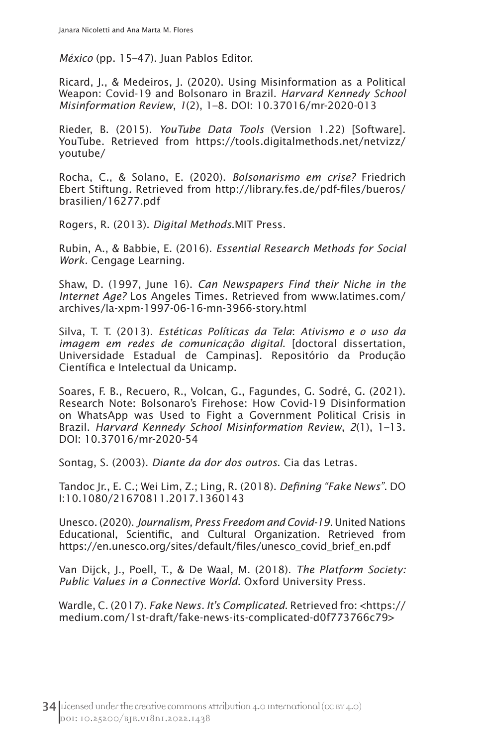*México* (pp. 15–47). Juan Pablos Editor.

Ricard, J., & Medeiros, J. (2020). Using Misinformation as a Political Weapon: Covid-19 and Bolsonaro in Brazil. *Harvard Kennedy School Misinformation Review*, *1*(2), 1–8. DOI: 10.37016/mr-2020-013

Rieder, B. (2015). *YouTube Data Tools* (Version 1.22) [Software]. YouTube. Retrieved from https://tools.digitalmethods.net/netvizz/ youtube/

Rocha, C., & Solano, E. (2020). *Bolsonarismo em crise?* Friedrich Ebert Stiftung*.* Retrieved from http://library.fes.de/pdf-files/bueros/ brasilien/16277.pdf

Rogers, R. (2013). *Digital Methods*.MIT Press.

Rubin, A., & Babbie, E. (2016). *Essential Research Methods for Social Work.* Cengage Learning.

Shaw, D. (1997, June 16). *Can Newspapers Find their Niche in the Internet Age?* Los Angeles Times. Retrieved from www.latimes.com/ archives/la-xpm-1997-06-16-mn-3966-story.html

Silva, T. T. (2013). *Estéticas Políticas da Tela*: *Ativismo e o uso da imagem em redes de comunicação digital*. [doctoral dissertation, Universidade Estadual de Campinas]. Repositório da Produção Científica e Intelectual da Unicamp.

Soares, F. B., Recuero, R., Volcan, G., Fagundes, G. Sodré, G. (2021). Research Note: Bolsonaro's Firehose: How Covid-19 Disinformation on WhatsApp was Used to Fight a Government Political Crisis in Brazil. *Harvard Kennedy School Misinformation Review*, *2*(1), 1–13. DOI: 10.37016/mr-2020-54

Sontag, S. (2003). *Diante da dor dos outros*. Cia das Letras.

Tandoc Jr., E. C.; Wei Lim, Z.; Ling, R. (2018). *Defining "Fake News"*. DO I:10.1080/21670811.2017.1360143

Unesco. (2020). *Journalism, Press Freedom and Covid-19.* United Nations Educational, Scientific, and Cultural Organization. Retrieved from https://en.unesco.org/sites/default/files/unesco\_covid\_brief\_en.pdf

Van Dijck, J., Poell, T., & De Waal, M. (2018). *The Platform Society: Public Values in a Connective World*. Oxford University Press.

Wardle, C. (2017). *Fake News. It's Complicated*. Retrieved fro: <https:// medium.com/1st-draft/fake-news-its-complicated-d0f773766c79>